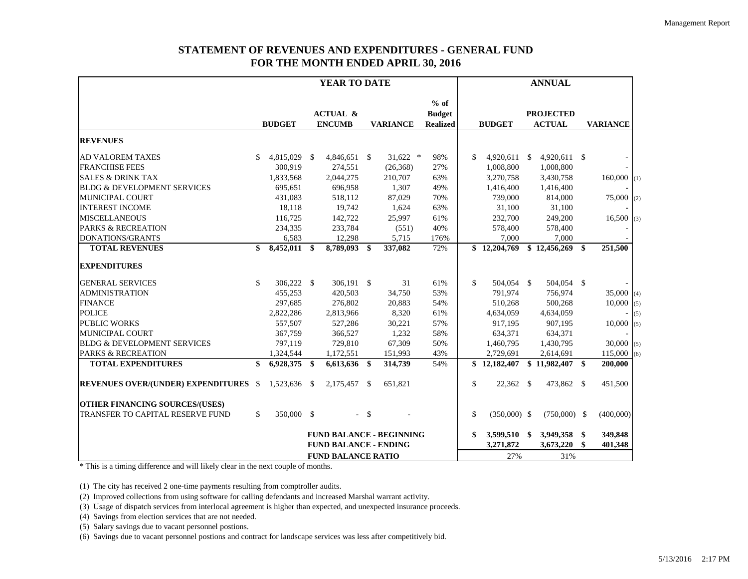## **STATEMENT OF REVENUES AND EXPENDITURES - GENERAL FUND FOR THE MONTH ENDED APRIL 30, 2016**

|                                              |    |                           |                              | YEAR TO DATE                         |    |                                 |                                            |               |                | <b>ANNUAL</b>                     |                          |     |
|----------------------------------------------|----|---------------------------|------------------------------|--------------------------------------|----|---------------------------------|--------------------------------------------|---------------|----------------|-----------------------------------|--------------------------|-----|
|                                              |    | <b>BUDGET</b>             |                              | <b>ACTUAL &amp;</b><br><b>ENCUMB</b> |    | <b>VARIANCE</b>                 | $%$ of<br><b>Budget</b><br><b>Realized</b> |               | <b>BUDGET</b>  | <b>PROJECTED</b><br><b>ACTUAL</b> | <b>VARIANCE</b>          |     |
| <b>REVENUES</b>                              |    |                           |                              |                                      |    |                                 |                                            |               |                |                                   |                          |     |
| <b>AD VALOREM TAXES</b>                      | S. | 4,815,029 \$              |                              | 4,846,651 \$                         |    | $31,622$ *                      | 98%                                        | \$            | $4,920,611$ \$ | 4,920,611 \$                      |                          |     |
| <b>FRANCHISE FEES</b>                        |    | 300,919                   |                              | 274,551                              |    | (26, 368)                       | 27%                                        |               | 1,008,800      | 1,008,800                         |                          |     |
| <b>SALES &amp; DRINK TAX</b>                 |    | 1,833,568                 |                              | 2,044,275                            |    | 210,707                         | 63%                                        |               | 3,270,758      | 3,430,758                         | $160,000$ <sub>(1)</sub> |     |
| <b>BLDG &amp; DEVELOPMENT SERVICES</b>       |    | 695,651                   |                              | 696,958                              |    | 1,307                           | 49%                                        |               | 1,416,400      | 1,416,400                         |                          |     |
| <b>MUNICIPAL COURT</b>                       |    | 431,083                   |                              | 518,112                              |    | 87,029                          | 70%                                        |               | 739,000        | 814,000                           | 75,000                   | (2) |
| <b>INTEREST INCOME</b>                       |    | 18,118                    |                              | 19,742                               |    | 1,624                           | 63%                                        |               | 31,100         | 31,100                            |                          |     |
| <b>MISCELLANEOUS</b>                         |    | 116,725                   |                              | 142,722                              |    | 25,997                          | 61%                                        |               | 232,700        | 249,200                           | 16,500                   | (3) |
| <b>PARKS &amp; RECREATION</b>                |    | 234,335                   |                              | 233,784                              |    | (551)                           | 40%                                        |               | 578,400        | 578,400                           |                          |     |
| DONATIONS/GRANTS                             |    | 6,583                     |                              | 12,298                               |    | 5,715                           | 176%                                       |               | 7,000          | 7,000                             |                          |     |
| <b>TOTAL REVENUES</b>                        | \$ | 8,452,011                 | \$                           | 8,789,093 \$                         |    | 337,082                         | 72%                                        |               | \$12,204,769   | \$12,456,269                      | \$<br>251,500            |     |
| <b>EXPENDITURES</b>                          |    |                           |                              |                                      |    |                                 |                                            |               |                |                                   |                          |     |
| <b>GENERAL SERVICES</b>                      | \$ | 306,222                   | - \$                         | 306,191 \$                           |    | 31                              | 61%                                        | $\mathbb{S}$  | 504,054 \$     | 504,054 \$                        |                          |     |
| <b>ADMINISTRATION</b>                        |    | 455,253                   |                              | 420,503                              |    | 34,750                          | 53%                                        |               | 791,974        | 756,974                           | $35,000$ (4)             |     |
| <b>FINANCE</b>                               |    | 297,685                   |                              | 276,802                              |    | 20,883                          | 54%                                        |               | 510,268        | 500,268                           | 10,000                   | (5) |
| <b>POLICE</b>                                |    | 2,822,286                 |                              | 2,813,966                            |    | 8,320                           | 61%                                        |               | 4,634,059      | 4,634,059                         |                          | (5) |
| <b>PUBLIC WORKS</b>                          |    | 557,507                   |                              | 527,286                              |    | 30,221                          | 57%                                        |               | 917,195        | 907,195                           | $10,000$ (5)             |     |
| <b>MUNICIPAL COURT</b>                       |    | 367,759                   |                              | 366,527                              |    | 1,232                           | 58%                                        |               | 634,371        | 634,371                           |                          |     |
| <b>BLDG &amp; DEVELOPMENT SERVICES</b>       |    | 797,119                   |                              | 729,810                              |    | 67,309                          | 50%                                        |               | 1,460,795      | 1,430,795                         | $30,000$ (5)             |     |
| <b>PARKS &amp; RECREATION</b>                |    | 1,324,544                 |                              | 1,172,551                            |    | 151,993                         | 43%                                        |               | 2,729,691      | 2,614,691                         | $115,000$ (6)            |     |
| <b>TOTAL EXPENDITURES</b>                    | \$ | 6,928,375                 | \$                           | 6,613,636 \$                         |    | 314,739                         | 54%                                        |               | \$12,182,407   | \$11,982,407                      | \$<br>200,000            |     |
| <b>REVENUES OVER/(UNDER) EXPENDITURES \$</b> |    | 1,523,636                 | - \$                         | 2,175,457 \$                         |    | 651,821                         |                                            | \$            | 22,362 \$      | 473,862 \$                        | 451,500                  |     |
| <b>OTHER FINANCING SOURCES/(USES)</b>        |    |                           |                              |                                      |    |                                 |                                            |               |                |                                   |                          |     |
| TRANSFER TO CAPITAL RESERVE FUND             | \$ | 350,000 \$                |                              | $\sim$                               | \$ |                                 |                                            | $\mathcal{S}$ | $(350,000)$ \$ | $(750,000)$ \$                    | (400,000)                |     |
|                                              |    |                           |                              |                                      |    | <b>FUND BALANCE - BEGINNING</b> |                                            | \$            | 3,599,510 \$   | 3,949,358 \$                      | 349,848                  |     |
|                                              |    |                           | <b>FUND BALANCE - ENDING</b> |                                      |    |                                 |                                            |               | 3,271,872      | 3,673,220                         | \$<br>401,348            |     |
|                                              |    | <b>FUND BALANCE RATIO</b> |                              |                                      |    |                                 |                                            |               | 27%            | 31%                               |                          |     |

\* This is a timing difference and will likely clear in the next couple of months.

(1) The city has received 2 one-time payments resulting from comptroller audits.

(2) Improved collections from using software for calling defendants and increased Marshal warrant activity.

(3) Usage of dispatch services from interlocal agreement is higher than expected, and unexpected insurance proceeds.

(4) Savings from election services that are not needed.

(5) Salary savings due to vacant personnel postions.

(6) Savings due to vacant personnel postions and contract for landscape services was less after competitively bid.